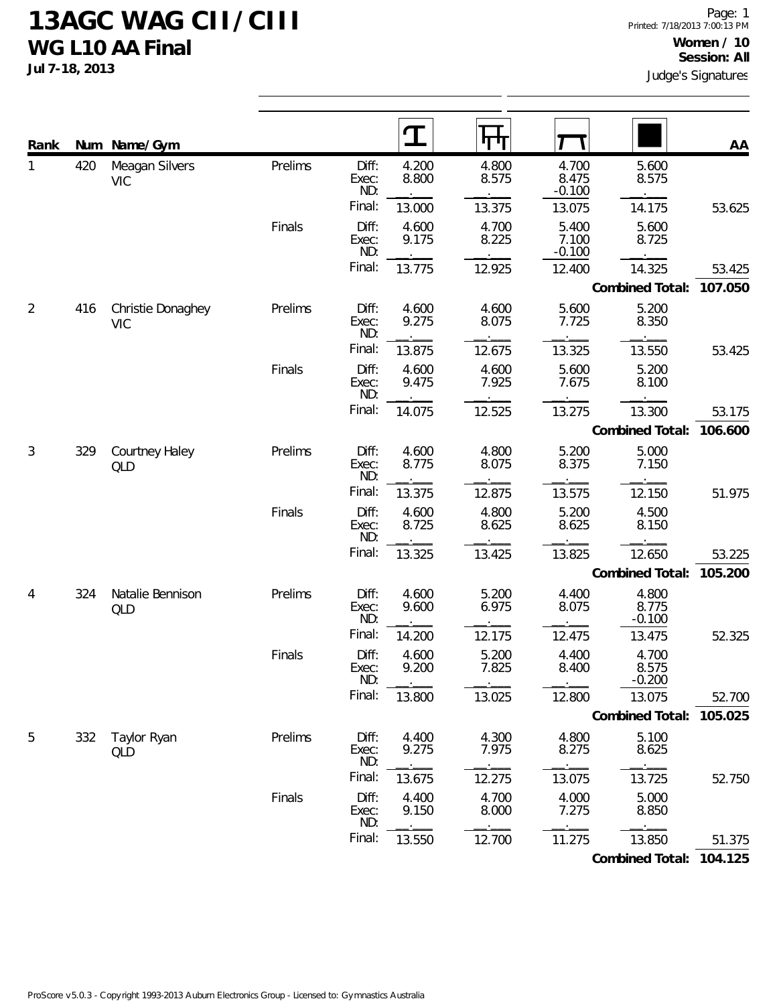**Jul 7-18, 2013**

| Rank           | Num | Name/Gym                        |         |                       |                | पाण            |                            |                            | AA      |
|----------------|-----|---------------------------------|---------|-----------------------|----------------|----------------|----------------------------|----------------------------|---------|
| 1              | 420 | Meagan Silvers<br><b>VIC</b>    | Prelims | Diff:<br>Exec:<br>ND: | 4.200<br>8.800 | 4.800<br>8.575 | 4.700<br>8.475<br>$-0.100$ | 5.600<br>8.575             |         |
|                |     |                                 |         | Final:                | 13.000         | 13.375         | 13.075                     | 14.175                     | 53.625  |
|                |     |                                 | Finals  | Diff:<br>Exec:<br>ND: | 4.600<br>9.175 | 4.700<br>8.225 | 5.400<br>7.100<br>$-0.100$ | 5.600<br>8.725             |         |
|                |     |                                 |         | Final:                | 13.775         | 12.925         | 12.400                     | 14.325                     | 53.425  |
|                |     |                                 |         |                       |                |                |                            | Combined Total:            | 107.050 |
| $\overline{2}$ | 416 | Christie Donaghey<br><b>VIC</b> | Prelims | Diff:<br>Exec:<br>ND: | 4.600<br>9.275 | 4.600<br>8.075 | 5.600<br>7.725             | 5.200<br>8.350             |         |
|                |     |                                 |         | Final:                | 13.875         | 12.675         | 13.325                     | 13.550                     | 53.425  |
|                |     |                                 | Finals  | Diff:<br>Exec:<br>ND: | 4.600<br>9.475 | 4.600<br>7.925 | 5.600<br>7.675             | 5.200<br>8.100             |         |
|                |     |                                 |         | Final:                | 14.075         | 12.525         | 13.275                     | 13.300                     | 53.175  |
|                |     |                                 |         |                       |                |                |                            | Combined Total:            | 106.600 |
| 3              | 329 | Courtney Haley<br>QLD           | Prelims | Diff:<br>Exec:<br>ND: | 4.600<br>8.775 | 4.800<br>8.075 | 5.200<br>8.375             | 5.000<br>7.150             |         |
|                |     |                                 |         | Final:                | 13.375         | 12.875         | 13.575                     | 12.150                     | 51.975  |
|                |     |                                 | Finals  | Diff:<br>Exec:<br>ND: | 4.600<br>8.725 | 4.800<br>8.625 | 5.200<br>8.625             | 4.500<br>8.150             |         |
|                |     |                                 |         | Final:                | 13.325         | 13.425         | 13.825                     | 12.650                     | 53.225  |
|                |     |                                 |         |                       |                |                |                            | Combined Total:            | 105.200 |
| 4              | 324 | Natalie Bennison<br>QLD         | Prelims | Diff:<br>Exec:<br>ND: | 4.600<br>9.600 | 5.200<br>6.975 | 4.400<br>8.075             | 4.800<br>8.775<br>$-0.100$ |         |
|                |     |                                 |         | Final:                | 14.200         | 12.175         | 12.475                     | 13.475                     | 52.325  |
|                |     |                                 | Finals  | Diff:<br>Exec:<br>ND: | 4.600<br>9.200 | 5.200<br>7.825 | 4.400<br>8.400             | 4.700<br>8.575<br>$-0.200$ |         |
|                |     |                                 |         | Final:                | 13.800         | 13.025         | 12.800                     | 13.075                     | 52.700  |
|                |     |                                 |         |                       |                |                |                            | Combined Total: 105.025    |         |
| 5              | 332 | Taylor Ryan<br>QLD              | Prelims | Diff:<br>Exec:<br>ND: | 4.400<br>9.275 | 4.300<br>7.975 | 4.800<br>8.275             | 5.100<br>8.625             |         |
|                |     |                                 |         | Final:                | 13.675         | 12.275         | 13.075                     | 13.725                     | 52.750  |
|                |     |                                 | Finals  | Diff:<br>Exec:<br>ND: | 4.400<br>9.150 | 4.700<br>8.000 | 4.000<br>7.275             | 5.000<br>8.850             |         |
|                |     |                                 |         | Final:                | 13.550         | 12.700         | 11.275                     | 13.850                     | 51.375  |

**Combined Total: 104.125**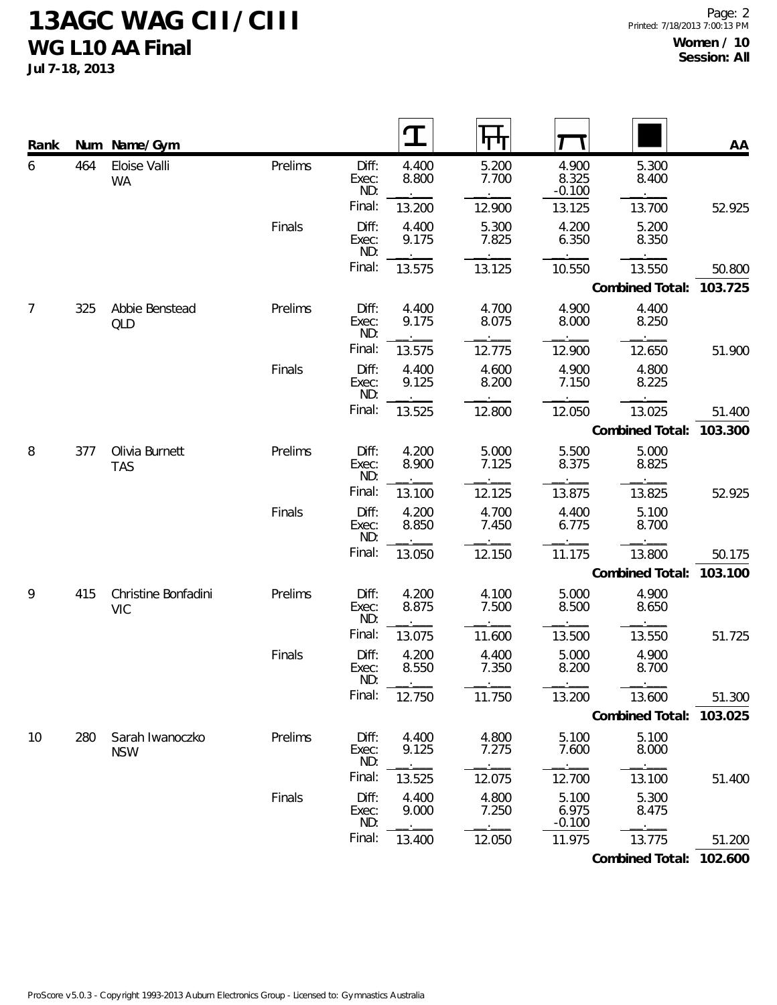**Jul 7-18, 2013**

| Rank |     | Num Name/Gym                      |         |                       |                |                |                            |                 | AA      |
|------|-----|-----------------------------------|---------|-----------------------|----------------|----------------|----------------------------|-----------------|---------|
| 6    | 464 | Eloise Valli<br><b>WA</b>         | Prelims | Diff:<br>Exec:<br>ND: | 4.400<br>8.800 | 5.200<br>7.700 | 4.900<br>8.325<br>$-0.100$ | 5.300<br>8.400  |         |
|      |     |                                   |         | Final:                | 13.200         | 12.900         | 13.125                     | 13.700          | 52.925  |
|      |     |                                   | Finals  | Diff:<br>Exec:<br>ND: | 4.400<br>9.175 | 5.300<br>7.825 | 4.200<br>6.350             | 5.200<br>8.350  |         |
|      |     |                                   |         | Final:                | 13.575         | 13.125         | 10.550                     | 13.550          | 50.800  |
|      |     |                                   |         |                       |                |                |                            | Combined Total: | 103.725 |
| 7    | 325 | Abbie Benstead<br>QLD             | Prelims | Diff:<br>Exec:<br>ND: | 4.400<br>9.175 | 4.700<br>8.075 | 4.900<br>8.000             | 4.400<br>8.250  |         |
|      |     |                                   |         | Final:                | 13.575         | 12.775         | 12.900                     | 12.650          | 51.900  |
|      |     |                                   | Finals  | Diff:<br>Exec:<br>ND: | 4.400<br>9.125 | 4.600<br>8.200 | 4.900<br>7.150             | 4.800<br>8.225  |         |
|      |     |                                   |         | Final:                | 13.525         | 12.800         | 12.050                     | 13.025          | 51.400  |
|      |     |                                   |         |                       |                |                |                            | Combined Total: | 103.300 |
| 8    | 377 | Olivia Burnett<br><b>TAS</b>      | Prelims | Diff:<br>Exec:<br>ND: | 4.200<br>8.900 | 5.000<br>7.125 | 5.500<br>8.375             | 5.000<br>8.825  |         |
|      |     |                                   |         | Final:                | 13.100         | 12.125         | 13.875                     | 13.825          | 52.925  |
|      |     |                                   | Finals  | Diff:<br>Exec:<br>ND: | 4.200<br>8.850 | 4.700<br>7.450 | 4.400<br>6.775             | 5.100<br>8.700  |         |
|      |     |                                   |         | Final:                | 13.050         | 12.150         | 11.175                     | 13.800          | 50.175  |
|      |     |                                   |         |                       |                |                |                            | Combined Total: | 103.100 |
| 9    | 415 | Christine Bonfadini<br><b>VIC</b> | Prelims | Diff:<br>Exec:<br>ND: | 4.200<br>8.875 | 4.100<br>7.500 | 5.000<br>8.500             | 4.900<br>8.650  |         |
|      |     |                                   |         | Final:                | 13.075         | 11.600         | 13.500                     | 13.550          | 51.725  |
|      |     |                                   | Finals  | Diff:<br>Exec:<br>ND: | 4.200<br>8.550 | 4.400<br>7.350 | 5.000<br>8.200             | 4.900<br>8.700  |         |
|      |     |                                   |         | Final:                | 12.750         | 11.750         | 13.200                     | 13.600          | 51.300  |
|      |     |                                   |         |                       |                |                |                            | Combined Total: | 103.025 |
| 10   | 280 | Sarah Iwanoczko<br><b>NSW</b>     | Prelims | Diff:<br>Exec:<br>ND: | 4.400<br>9.125 | 4.800<br>7.275 | 5.100<br>7.600             | 5.100<br>8.000  |         |
|      |     |                                   |         | Final:                | 13.525         | 12.075         | 12.700                     | 13.100          | 51.400  |
|      |     |                                   | Finals  | Diff:<br>Exec:<br>ND: | 4.400<br>9.000 | 4.800<br>7.250 | 5.100<br>6.975<br>$-0.100$ | 5.300<br>8.475  |         |
|      |     |                                   |         | Final:                | 13.400         | 12.050         | 11.975                     | 13.775          | 51.200  |

**Combined Total: 102.600**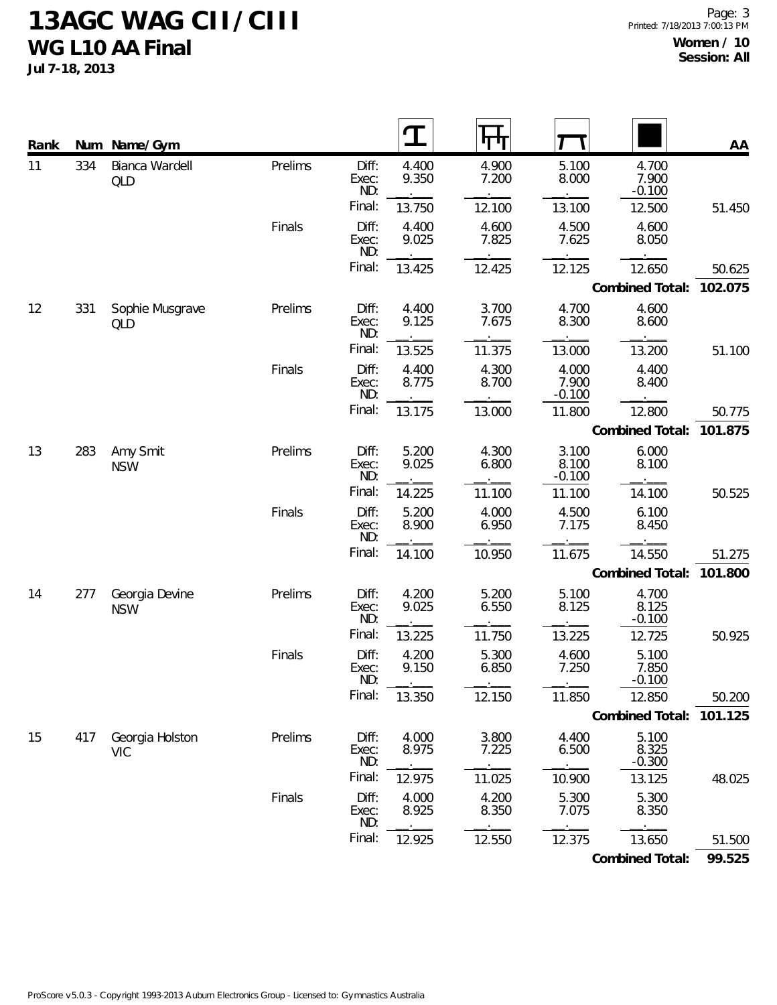**Jul 7-18, 2013**

| Rank |     | Num Name/Gym                  |         |                       | T              | पाग            |                            |                            | AA      |
|------|-----|-------------------------------|---------|-----------------------|----------------|----------------|----------------------------|----------------------------|---------|
| 11   | 334 | Bianca Wardell<br><b>QLD</b>  | Prelims | Diff:<br>Exec:<br>ND: | 4.400<br>9.350 | 4.900<br>7.200 | 5.100<br>8.000             | 4.700<br>7.900<br>$-0.100$ |         |
|      |     |                               |         | Final:                | 13.750         | 12.100         | 13.100                     | 12.500                     | 51.450  |
|      |     |                               | Finals  | Diff:<br>Exec:<br>ND: | 4.400<br>9.025 | 4.600<br>7.825 | 4.500<br>7.625             | 4.600<br>8.050             |         |
|      |     |                               |         | Final:                | 13.425         | 12.425         | 12.125                     | 12.650                     | 50.625  |
|      |     |                               |         |                       |                |                |                            | Combined Total:            | 102.075 |
| 12   | 331 | Sophie Musgrave<br><b>QLD</b> | Prelims | Diff:<br>Exec:<br>ND: | 4.400<br>9.125 | 3.700<br>7.675 | 4.700<br>8.300             | 4.600<br>8.600             |         |
|      |     |                               |         | Final:                | 13.525         | 11.375         | 13.000                     | 13.200                     | 51.100  |
|      |     |                               | Finals  | Diff:<br>Exec:<br>ND: | 4.400<br>8.775 | 4.300<br>8.700 | 4.000<br>7.900<br>$-0.100$ | 4.400<br>8.400             |         |
|      |     |                               |         | Final:                | 13.175         | 13.000         | 11.800                     | 12.800                     | 50.775  |
|      |     |                               |         |                       |                |                |                            | Combined Total:            | 101.875 |
| 13   | 283 | Amy Smit<br><b>NSW</b>        | Prelims | Diff:<br>Exec:<br>ND: | 5.200<br>9.025 | 4.300<br>6.800 | 3.100<br>8.100<br>$-0.100$ | 6.000<br>8.100             |         |
|      |     |                               |         | Final:                | 14.225         | 11.100         | 11.100                     | 14.100                     | 50.525  |
|      |     |                               | Finals  | Diff:<br>Exec:<br>ND: | 5.200<br>8.900 | 4.000<br>6.950 | 4.500<br>7.175             | 6.100<br>8.450             |         |
|      |     |                               |         | Final:                | 14.100         | 10.950         | 11.675                     | 14.550                     | 51.275  |
|      |     |                               |         |                       |                |                |                            | Combined Total:            | 101.800 |
| 14   | 277 | Georgia Devine<br><b>NSW</b>  | Prelims | Diff:<br>Exec:<br>ND: | 4.200<br>9.025 | 5.200<br>6.550 | 5.100<br>8.125             | 4.700<br>8.125<br>$-0.100$ |         |
|      |     |                               |         | Final:                | 13.225         | 11.750         | 13.225                     | 12.725                     | 50.925  |
|      |     |                               | Finals  | Diff:<br>Exec:<br>ND: | 4.200<br>9.150 | 5.300<br>6.850 | 4.600<br>7.250             | 5.100<br>7.850<br>$-0.100$ |         |
|      |     |                               |         | Final:                | 13.350         | 12.150         | 11.850                     | 12.850                     | 50.200  |
|      |     |                               |         |                       |                |                |                            | Combined Total:            | 101.125 |
| 15   | 417 | Georgia Holston<br><b>VIC</b> | Prelims | Diff:<br>Exec:<br>ND: | 4.000<br>8.975 | 3.800<br>7.225 | 4.400<br>6.500             | 5.100<br>8.325<br>$-0.300$ |         |
|      |     |                               |         | Final:                | 12.975         | 11.025         | 10.900                     | 13.125                     | 48.025  |
|      |     |                               | Finals  | Diff:<br>Exec:<br>ND: | 4.000<br>8.925 | 4.200<br>8.350 | 5.300<br>7.075             | 5.300<br>8.350             |         |
|      |     |                               |         | Final:                | 12.925         | 12.550         | 12.375                     | 13.650                     | 51.500  |
|      |     |                               |         |                       |                |                |                            | Combined Total:            | 99.525  |

ProScore v5.0.3 - Copyright 1993-2013 Auburn Electronics Group - Licensed to: Gymnastics Australia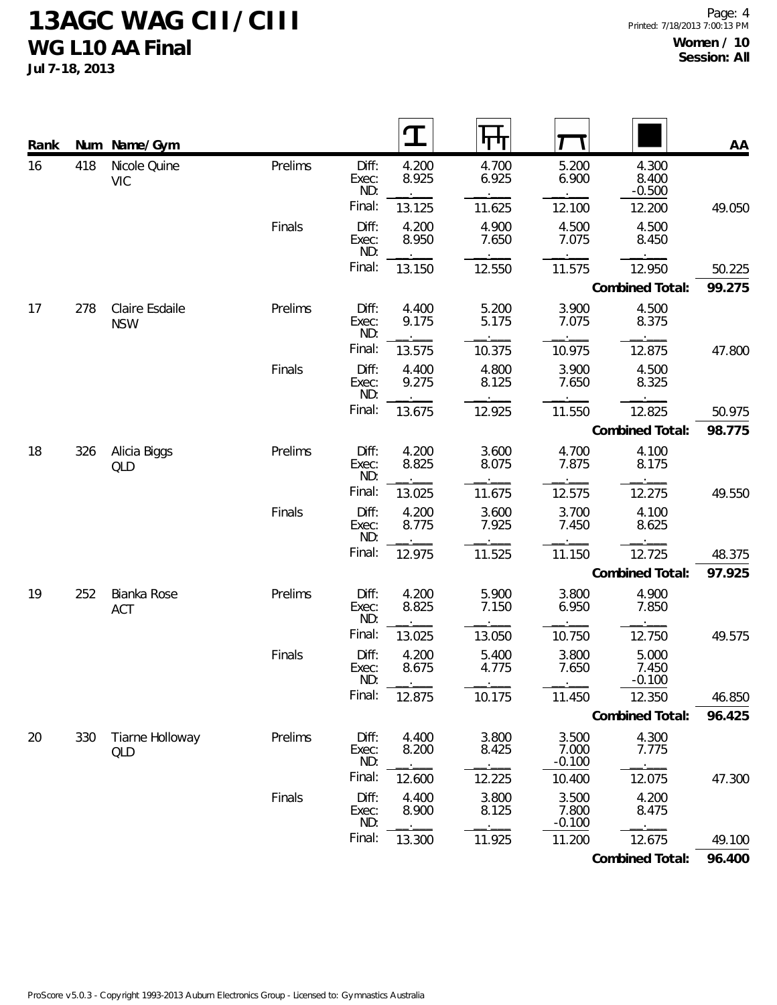**Jul 7-18, 2013**

| Rank | Num | Name/Gym                     |         |                       | Т              |                |                            |                            | AA     |
|------|-----|------------------------------|---------|-----------------------|----------------|----------------|----------------------------|----------------------------|--------|
| 16   | 418 | Nicole Quine<br><b>VIC</b>   | Prelims | Diff:<br>Exec:<br>ND: | 4.200<br>8.925 | 4.700<br>6.925 | 5.200<br>6.900             | 4.300<br>8.400<br>$-0.500$ |        |
|      |     |                              |         | Final:                | 13.125         | 11.625         | 12.100                     | 12.200                     | 49.050 |
|      |     |                              | Finals  | Diff:<br>Exec:<br>ND: | 4.200<br>8.950 | 4.900<br>7.650 | 4.500<br>7.075             | 4.500<br>8.450             |        |
|      |     |                              |         | Final:                | 13.150         | 12.550         | 11.575                     | 12.950                     | 50.225 |
|      |     |                              |         |                       |                |                |                            | Combined Total:            | 99.275 |
| 17   | 278 | Claire Esdaile<br><b>NSW</b> | Prelims | Diff:<br>Exec:<br>ND: | 4.400<br>9.175 | 5.200<br>5.175 | 3.900<br>7.075             | 4.500<br>8.375             |        |
|      |     |                              |         | Final:                | 13.575         | 10.375         | 10.975                     | 12.875                     | 47.800 |
|      |     |                              | Finals  | Diff:<br>Exec:<br>ND: | 4.400<br>9.275 | 4.800<br>8.125 | 3.900<br>7.650             | 4.500<br>8.325             |        |
|      |     |                              |         | Final:                | 13.675         | 12.925         | 11.550                     | 12.825                     | 50.975 |
|      |     |                              |         |                       |                |                |                            | Combined Total:            | 98.775 |
| 18   | 326 | Alicia Biggs<br>QLD          | Prelims | Diff:<br>Exec:<br>ND: | 4.200<br>8.825 | 3.600<br>8.075 | 4.700<br>7.875             | 4.100<br>8.175             |        |
|      |     |                              |         | Final:                | 13.025         | 11.675         | 12.575                     | 12.275                     | 49.550 |
|      |     |                              | Finals  | Diff:<br>Exec:<br>ND: | 4.200<br>8.775 | 3.600<br>7.925 | 3.700<br>7.450             | 4.100<br>8.625             |        |
|      |     |                              |         | Final:                | 12.975         | 11.525         | 11.150                     | 12.725                     | 48.375 |
|      |     |                              |         |                       |                |                |                            | Combined Total:            | 97.925 |
| 19   | 252 | Bianka Rose<br><b>ACT</b>    | Prelims | Diff:<br>Exec:<br>ND: | 4.200<br>8.825 | 5.900<br>7.150 | 3.800<br>6.950             | 4.900<br>7.850             |        |
|      |     |                              |         | Final:                | 13.025         | 13.050         | 10.750                     | 12.750                     | 49.575 |
|      |     |                              | Finals  | Diff:<br>Exec:<br>ND: | 4.200<br>8.675 | 5.400<br>4.775 | 3.800<br>7.650             | 5.000<br>7.450<br>$-0.100$ |        |
|      |     |                              |         | Final:                | 12.875         | 10.175         | 11.450                     | 12.350                     | 46.850 |
|      |     |                              |         |                       |                |                |                            | Combined Total:            | 96.425 |
| 20   | 330 | Tiarne Holloway<br>QLD       | Prelims | Diff:<br>Exec:<br>ND: | 4.400<br>8.200 | 3.800<br>8.425 | 3.500<br>7.000<br>$-0.100$ | 4.300<br>7.775             |        |
|      |     |                              |         | Final:                | 12.600         | 12.225         | 10.400                     | 12.075                     | 47.300 |
|      |     |                              | Finals  | Diff:<br>Exec:<br>ND: | 4.400<br>8.900 | 3.800<br>8.125 | 3.500<br>7.800<br>$-0.100$ | 4.200<br>8.475             |        |
|      |     |                              |         | Final:                | 13.300         | 11.925         | 11.200                     | 12.675                     | 49.100 |

**Combined Total: 96.400**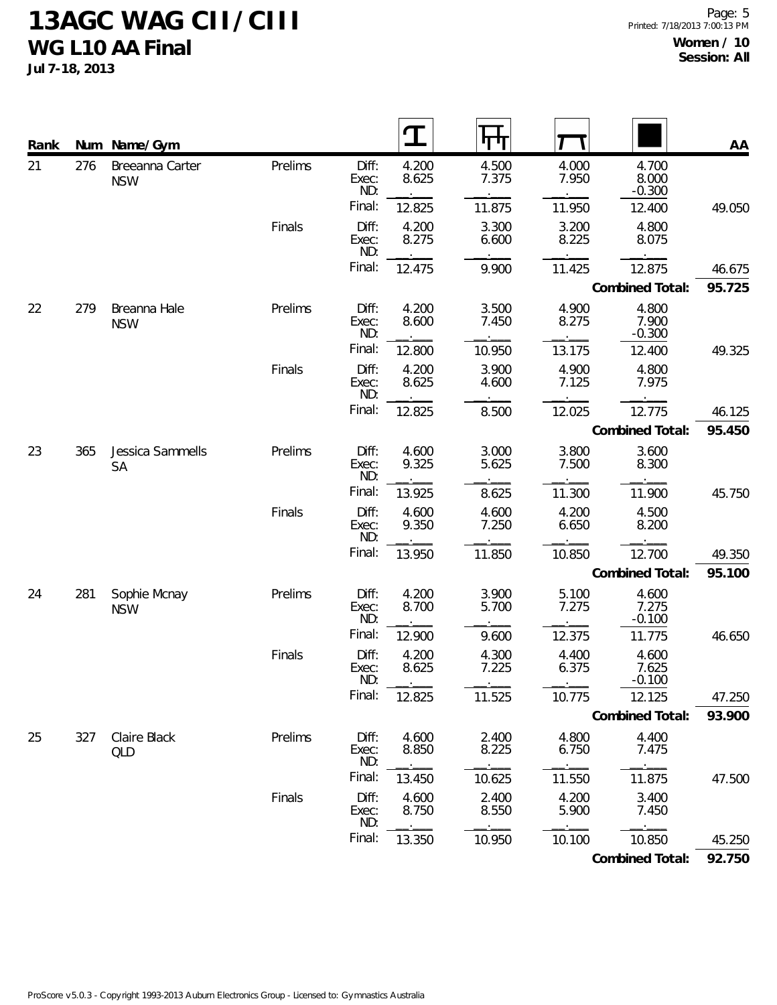**Jul 7-18, 2013**

| Rank |     | Num Name/Gym                  |         |                       |                |                |                |                            | AA     |
|------|-----|-------------------------------|---------|-----------------------|----------------|----------------|----------------|----------------------------|--------|
| 21   | 276 | Breeanna Carter<br><b>NSW</b> | Prelims | Diff:<br>Exec:<br>ND: | 4.200<br>8.625 | 4.500<br>7.375 | 4.000<br>7.950 | 4.700<br>8.000<br>$-0.300$ |        |
|      |     |                               |         | Final:                | 12.825         | 11.875         | 11.950         | 12.400                     | 49.050 |
|      |     |                               | Finals  | Diff:<br>Exec:<br>ND: | 4.200<br>8.275 | 3.300<br>6.600 | 3.200<br>8.225 | 4.800<br>8.075             |        |
|      |     |                               |         | Final:                | 12.475         | 9.900          | 11.425         | 12.875                     | 46.675 |
|      |     |                               |         |                       |                |                |                | Combined Total:            | 95.725 |
| 22   | 279 | Breanna Hale<br><b>NSW</b>    | Prelims | Diff:<br>Exec:<br>ND: | 4.200<br>8.600 | 3.500<br>7.450 | 4.900<br>8.275 | 4.800<br>7.900<br>$-0.300$ |        |
|      |     |                               |         | Final:                | 12.800         | 10.950         | 13.175         | 12.400                     | 49.325 |
|      |     |                               | Finals  | Diff:<br>Exec:<br>ND: | 4.200<br>8.625 | 3.900<br>4.600 | 4.900<br>7.125 | 4.800<br>7.975             |        |
|      |     |                               |         | Final:                | 12.825         | 8.500          | 12.025         | 12.775                     | 46.125 |
|      |     |                               |         |                       |                |                |                | Combined Total:            | 95.450 |
| 23   | 365 | Jessica Sammells<br><b>SA</b> | Prelims | Diff:<br>Exec:<br>ND: | 4.600<br>9.325 | 3.000<br>5.625 | 3.800<br>7.500 | 3.600<br>8.300             |        |
|      |     |                               |         | Final:                | 13.925         | 8.625          | 11.300         | 11.900                     | 45.750 |
|      |     |                               | Finals  | Diff:<br>Exec:<br>ND: | 4.600<br>9.350 | 4.600<br>7.250 | 4.200<br>6.650 | 4.500<br>8.200             |        |
|      |     |                               |         | Final:                | 13.950         | 11.850         | 10.850         | 12.700                     | 49.350 |
|      |     |                               |         |                       |                |                |                | Combined Total:            | 95.100 |
| 24   | 281 | Sophie Mcnay<br><b>NSW</b>    | Prelims | Diff:<br>Exec:<br>ND: | 4.200<br>8.700 | 3.900<br>5.700 | 5.100<br>7.275 | 4.600<br>7.275<br>$-0.100$ |        |
|      |     |                               |         | Final:                | 12.900         | 9.600          | 12.375         | 11.775                     | 46.650 |
|      |     |                               | Finals  | Diff:<br>Exec:<br>ND: | 4.200<br>8.625 | 4.300<br>7.225 | 4.400<br>6.375 | 4.600<br>7.625<br>$-0.100$ |        |
|      |     |                               |         | Final:                | 12.825         | 11.525         | 10.775         | 12.125                     | 47.250 |
|      |     |                               |         |                       |                |                |                | Combined Total:            | 93.900 |
| 25   | 327 | Claire Black<br><b>QLD</b>    | Prelims | Diff:<br>Exec:<br>ND: | 4.600<br>8.850 | 2.400<br>8.225 | 4.800<br>6.750 | 4.400<br>7.475             |        |
|      |     |                               |         | Final:                | 13.450         | 10.625         | 11.550         | 11.875                     | 47.500 |
|      |     |                               | Finals  | Diff:<br>Exec:<br>ND: | 4.600<br>8.750 | 2.400<br>8.550 | 4.200<br>5.900 | 3.400<br>7.450             |        |
|      |     |                               |         | Final:                | 13.350         | 10.950         | 10.100         | 10.850                     | 45.250 |

**Combined Total: 92.750**